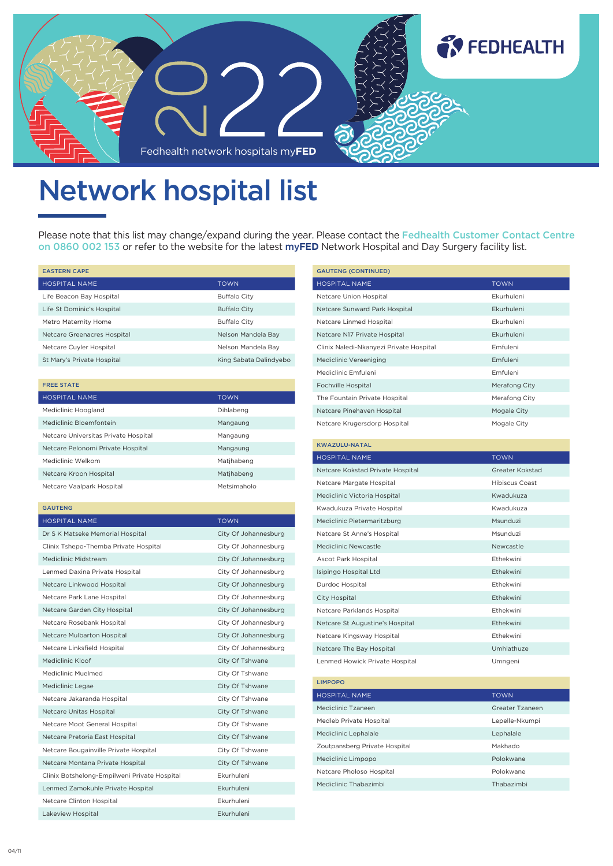

## Network hospital list

Please note that this list may change/expand during the year. Please contact the Fedhealth Customer Contact Centre on 0860 002 153 or refer to the website for the latest my**FED** Network Hospital and Day Surgery facility list.

| <b>EASTERN CAPE</b>         |                        |
|-----------------------------|------------------------|
| <b>HOSPITAL NAME</b>        | <b>TOWN</b>            |
| Life Beacon Bay Hospital    | <b>Buffalo City</b>    |
| Life St Dominic's Hospital  | <b>Buffalo City</b>    |
| Metro Maternity Home        | <b>Buffalo City</b>    |
| Netcare Greenacres Hospital | Nelson Mandela Bay     |
| Netcare Cuyler Hospital     | Nelson Mandela Bay     |
| St Mary's Private Hospital  | King Sabata Dalindyebo |

| <b>FREE STATE</b>                    |             |
|--------------------------------------|-------------|
| <b>HOSPITAL NAME</b>                 | <b>TOWN</b> |
| Mediclinic Hoogland                  | Dihlabeng   |
| Mediclinic Bloemfontein              | Mangaung    |
| Netcare Universitas Private Hospital | Mangaung    |
| Netcare Pelonomi Private Hospital    | Mangaung    |
| Mediclinic Welkom                    | Matjhabeng  |
| Netcare Kroon Hospital               | Matjhabeng  |
| Netcare Vaalpark Hospital            | Metsimaholo |

## GAUTENG

| <b>HOSPITAL NAME</b>                         | <b>TOWN</b>          |
|----------------------------------------------|----------------------|
| Dr S K Matseke Memorial Hospital             | City Of Johannesburg |
| Clinix Tshepo-Themba Private Hospital        | City Of Johannesburg |
| Mediclinic Midstream                         | City Of Johannesburg |
| Lenmed Daxina Private Hospital               | City Of Johannesburg |
| Netcare Linkwood Hospital                    | City Of Johannesburg |
| Netcare Park Lane Hospital                   | City Of Johannesburg |
| Netcare Garden City Hospital                 | City Of Johannesburg |
| Netcare Rosebank Hospital                    | City Of Johannesburg |
| Netcare Mulbarton Hospital                   | City Of Johannesburg |
| Netcare Linksfield Hospital                  | City Of Johannesburg |
| Mediclinic Kloof                             | City Of Tshwane      |
| Mediclinic Muelmed                           | City Of Tshwane      |
| Mediclinic Legae                             | City Of Tshwane      |
| Netcare Jakaranda Hospital                   | City Of Tshwane      |
| Netcare Unitas Hospital                      | City Of Tshwane      |
| Netcare Moot General Hospital                | City Of Tshwane      |
| Netcare Pretoria East Hospital               | City Of Tshwane      |
| Netcare Bougainville Private Hospital        | City Of Tshwane      |
| Netcare Montana Private Hospital             | City Of Tshwane      |
| Clinix Botshelong-Empilweni Private Hospital | Ekurhuleni           |
| Lenmed Zamokuhle Private Hospital            | Fkurhuleni           |
| Netcare Clinton Hospital                     | Fkurhuleni           |
| Lakeview Hospital                            | Fkurhuleni           |

| <b>GAUTENG (CONTINUED)</b>              |                       |
|-----------------------------------------|-----------------------|
| <b>HOSPITAL NAME</b>                    | <b>TOWN</b>           |
| Netcare Union Hospital                  | Ekurhuleni            |
| Netcare Sunward Park Hospital           | <b>Fkurhuleni</b>     |
| Netcare Linmed Hospital                 | Ekurhuleni            |
| Netcare N17 Private Hospital            | Ekurhuleni            |
| Clinix Naledi-Nkanyezi Private Hospital | <b>Emfuleni</b>       |
| Mediclinic Vereeniging                  | Emfuleni              |
| Mediclinic Emfuleni                     | Emfuleni              |
| Fochville Hospital                      | Merafong City         |
| The Fountain Private Hospital           | Merafong City         |
| Netcare Pinehaven Hospital              | Mogale City           |
| Netcare Krugersdorp Hospital            | Mogale City           |
|                                         |                       |
| <b>KWAZULU-NATAL</b>                    |                       |
| <b>HOSPITAL NAME</b>                    | <b>TOWN</b>           |
| Netcare Kokstad Private Hospital        | Greater Kokstad       |
| Netcare Margate Hospital                | <b>Hibiscus Coast</b> |
| Mediclinic Victoria Hospital            | Kwadukuza             |
| Kwadukuza Private Hospital              | Kwadukuza             |
| Mediclinic Pietermaritzburg             | Msunduzi              |
| Netcare St Anne's Hospital              | Msunduzi              |
| Mediclinic Newcastle                    | Newcastle             |
| Ascot Park Hospital                     | Ethekwini             |
| Isipingo Hospital Ltd                   | <b>Ethekwini</b>      |
| Durdoc Hospital                         | <b>Fthekwini</b>      |
| City Hospital                           | Ethekwini             |
| Netcare Parklands Hospital              | Fthekwini             |
| Netcare St Augustine's Hospital         | <b>Fthekwini</b>      |
| Netcare Kingsway Hospital               | Ethekwini             |
| Netcare The Bay Hospital                | Umhlathuze            |
| Lenmed Howick Private Hospital          | Umngeni               |
| <b>LIMPOPO</b>                          |                       |
| <b>UNCDITAL NIAME</b>                   | <b>TOM/N</b>          |

| <b>TOWN</b>     |
|-----------------|
| Greater Tzaneen |
| Lepelle-Nkumpi  |
| Lephalale       |
| Makhado         |
| Polokwane       |
| Polokwane       |
| Thabazimbi      |
|                 |